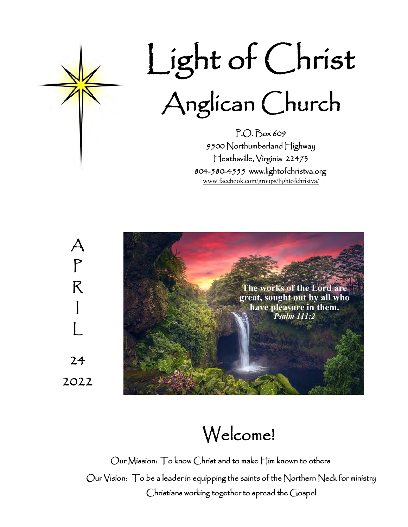

 Light of Christ Anglican Church

P.O. Box 609 9500 Northumberland Highway Heathsville, Virginia 22473 804-580-4555 www.lightofchristva.org [www.facebook.com/groups/lightofchristva/](http://www.facebook.com/groups/lightofchristva/)



Welcome!

Our Mission: To know Christ and to make Him known to others Our Vision: To be a leader in equipping the saints of the Northern Neck for ministry Christians working together to spread the Gospel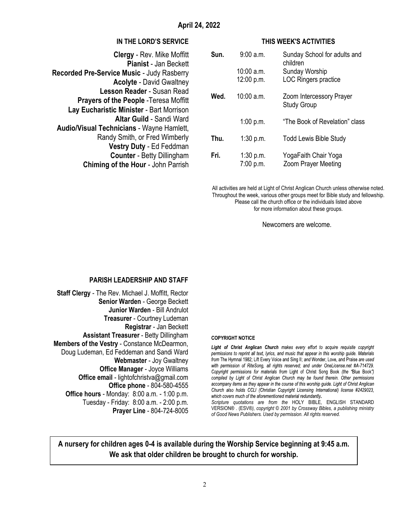#### **IN THE LORD'S SERVICE**

| <b>Clergy</b> - Rev. Mike Moffitt                 |
|---------------------------------------------------|
| <b>Pianist</b> - Jan Beckett                      |
| <b>Recorded Pre-Service Music - Judy Rasberry</b> |
| <b>Acolyte - David Gwaltney</b>                   |
| <b>Lesson Reader - Susan Read</b>                 |
| <b>Prayers of the People -Teresa Moffitt</b>      |
| Lay Eucharistic Minister - Bart Morrison          |
| <b>Altar Guild - Sandi Ward</b>                   |
| <b>Audio/Visual Technicians - Wayne Hamlett,</b>  |
| Randy Smith, or Fred Wimberly                     |
| <b>Vestry Duty - Ed Feddman</b>                   |
| <b>Counter</b> - Betty Dillingham                 |
| <b>Chiming of the Hour - John Parrish</b>         |
|                                                   |

#### **THIS WEEK'S ACTIVITIES**

| Sun. | 9:00a.m.<br>$10:00$ a.m. | Sunday School for adults and<br>children<br>Sunday Worship |
|------|--------------------------|------------------------------------------------------------|
|      | 12:00 p.m.               | <b>LOC Ringers practice</b>                                |
| Wed. | $10:00$ a.m.             | Zoom Intercessory Prayer<br><b>Study Group</b>             |
|      | 1:00 p.m.                | "The Book of Revelation" class                             |
| Thu. | 1:30 p.m.                | <b>Todd Lewis Bible Study</b>                              |
| Fri. | 1:30 p.m.<br>7:00 p.m.   | YogaFaith Chair Yoga<br>Zoom Prayer Meeting                |

All activities are held at Light of Christ Anglican Church unless otherwise noted. Throughout the week, various other groups meet for Bible study and fellowship. Please call the church office or the individuals listed above for more information about these groups.

Newcomers are welcome.

#### **PARISH LEADERSHIP AND STAFF**

**Staff Clergy** - The Rev. Michael J. Moffitt, Rector **Senior Warden** - George Beckett **Junior Warden** - Bill Andrulot **Treasurer** - Courtney Ludeman **Registrar** - Jan Beckett **Assistant Treasurer** - Betty Dillingham **Members of the Vestry** - Constance McDearmon, Doug Ludeman, Ed Feddeman and Sandi Ward **Webmaster** - Joy Gwaltney **Office Manager** - Joyce Williams **Office email** - lightofchristva@gmail.com **Office phone** - 804-580-4555 **Office hours** - Monday: 8:00 a.m. - 1:00 p.m. Tuesday - Friday: 8:00 a.m. - 2:00 p.m. **Prayer Line** - 804-724-8005

#### **COPYRIGHT NOTICE**

Light of Christ Anglican Church makes every effort to acquire requisite copyright permissions to reprint all text, lyrics, and music that appear in this worship quide. Materials from The Hymnal 1982; Lift Every Voice and Sing II; and Wonder, Love, and Praise are used with permission of RiteSong, all rights reserved; and under OneLicense.net #A-714729. Copyright permissions for materials from Light of Christ Song Book (the "Blue Book") compiled by Light of Christ Anglican Church may be found therein. Other permissions accompany items as they appear in the course of this worship guide. Light of Christ Anglican Church also holds CCLI (Christian Copyright Licensing International) license #2429023, which covers much of the aforementioned material redundantly.

*Scripture quotations are from the* HOLY BIBLE*,* ENGLISH STANDARD VERSION*®* . (ESV*®), copyright © 2001 by Crossway Bibles, a publishing ministry of Good News Publishers. Used by permission. All rights reserved.*

**A nursery for children ages 0-4 is available during the Worship Service beginning at 9:45 a.m. We ask that older children be brought to church for worship.**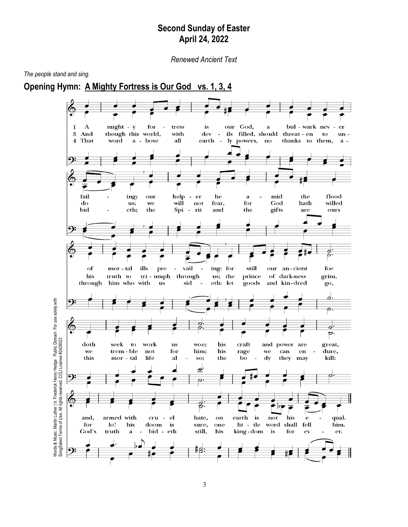## **Second Sunday of Easter April 24, 2022**

*Renewed Ancient Text*

*The people stand and sing.*

**Opening Hymn: A Mighty Fortress is Our God vs. 1, 3, 4**

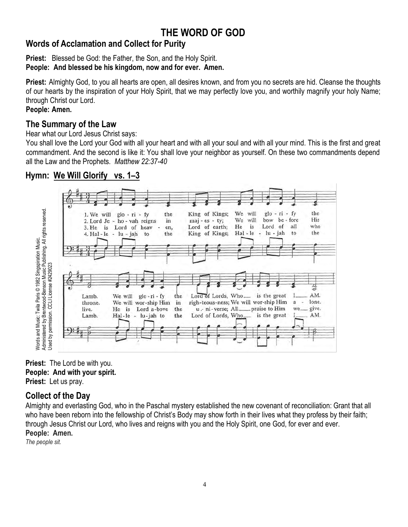# **THE WORD OF GOD**

## **Words of Acclamation and Collect for Purity**

**Priest:** Blessed be God: the Father, the Son, and the Holy Spirit. **People: And blessed be his kingdom, now and for ever. Amen.** 

**Priest:** Almighty God, to you all hearts are open, all desires known, and from you no secrets are hid. Cleanse the thoughts of our hearts by the inspiration of your Holy Spirit, that we may perfectly love you, and worthily magnify your holy Name; through Christ our Lord.

#### **People: Amen.**

## **The Summary of the Law**

Hear what our Lord Jesus Christ says:

You shall love the Lord your God with all your heart and with all your soul and with all your mind. This is the first and great commandment. And the second is like it: You shall love your neighbor as yourself. On these two commandments depend all the Law and the Prophets. *Matthew 22:37-40*

## **Hymn: We Will Glorify vs. 1–3**



**Priest:** The Lord be with you. **People: And with your spirit. Priest:** Let us pray.

## **Collect of the Day**

Almighty and everlasting God, who in the Paschal mystery established the new covenant of reconciliation: Grant that all who have been reborn into the fellowship of Christ's Body may show forth in their lives what they profess by their faith; through Jesus Christ our Lord, who lives and reigns with you and the Holy Spirit, one God, for ever and ever. **People: Amen.**

*The people sit.*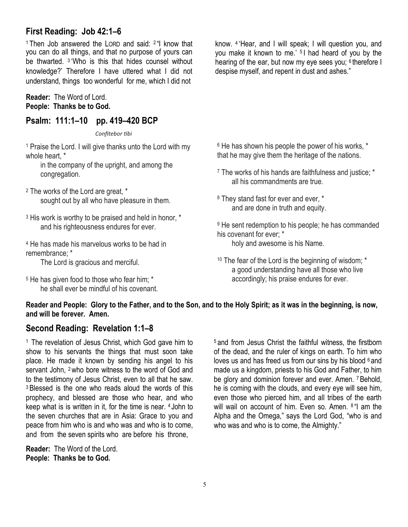## **First Reading: Job 42:1–6**

<sup>1</sup>Then Job answered the LORD and said: <sup>2</sup> "I know that you can do all things, and that no purpose of yours can be thwarted. <sup>3</sup>'Who is this that hides counsel without knowledge?' Therefore I have uttered what I did not understand, things too wonderful for me, which I did not

**Reader:** The Word of Lord. **People: Thanks be to God.**

## **Psalm: 111:1–10 pp. 419–420 BCP**

*Confitebor tibi* 

<sup>1</sup> Praise the Lord. I will give thanks unto the Lord with my whole heart, \*

in the company of the upright, and among the congregation.

- <sup>2</sup> The works of the Lord are great, \* sought out by all who have pleasure in them.
- <sup>3</sup> His work is worthy to be praised and held in honor,  $*$ and his righteousness endures for ever.
- <sup>4</sup> He has made his marvelous works to be had in remembrance; \*

The Lord is gracious and merciful.

<sup>5</sup> He has given food to those who fear him; \* he shall ever be mindful of his covenant.

know. <sup>4</sup> 'Hear, and I will speak; I will question you, and you make it known to me.' <sup>5</sup> I had heard of you by the hearing of the ear, but now my eye sees you; <sup>6</sup> therefore I despise myself, and repent in dust and ashes."

- <sup>6</sup> He has shown his people the power of his works, \* that he may give them the heritage of the nations.
- <sup>7</sup> The works of his hands are faithfulness and justice; \* all his commandments are true.
- <sup>8</sup> They stand fast for ever and ever, \* and are done in truth and equity.

<sup>9</sup> He sent redemption to his people; he has commanded his covenant for ever; \* holy and awesome is his Name.

<sup>10</sup> The fear of the Lord is the beginning of wisdom; \* a good understanding have all those who live accordingly; his praise endures for ever.

### **Reader and People: Glory to the Father, and to the Son, and to the Holy Spirit; as it was in the beginning, is now, and will be forever. Amen.**

### **Second Reading: Revelation 1:1–8**

<sup>1</sup> The revelation of Jesus Christ, which God gave him to show to his servants the things that must soon take place. He made it known by sending his angel to his servant John, <sup>2</sup> who bore witness to the word of God and to the testimony of Jesus Christ, even to all that he saw. <sup>3</sup> Blessed is the one who reads aloud the words of this prophecy, and blessed are those who hear, and who keep what is is written in it, for the time is near. <sup>4</sup> John to the seven churches that are in Asia: Grace to you and peace from him who is and who was and who is to come, and from the seven spirits who are before his throne,

**Reader:** The Word of the Lord. **People: Thanks be to God.**

<sup>5</sup> and from Jesus Christ the faithful witness, the firstborn of the dead, and the ruler of kings on earth. To him who loves us and has freed us from our sins by his blood 6 and made us a kingdom, priests to his God and Father, to him be glory and dominion forever and ever. Amen. 7 Behold, he is coming with the clouds, and every eye will see him, even those who pierced him, and all tribes of the earth will wail on account of him. Even so. Amen. <sup>8</sup> "I am the Alpha and the Omega," says the Lord God, "who is and who was and who is to come, the Almighty."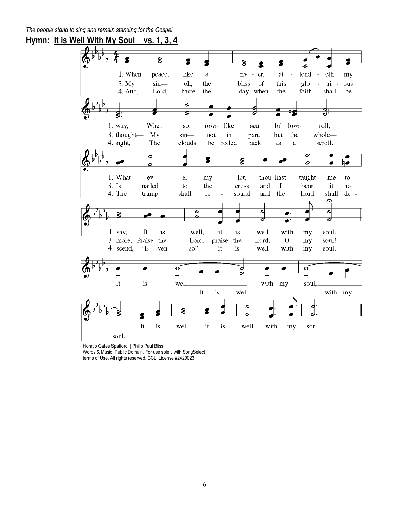*The people stand to sing and remain standing for the Gospel.*



Hymn: It is Well With My Soul vs. 1, 3, 4

Horatio Gates Spafford | Philip Paul Bliss Words & Music: Public Domain. For use solely with SongSelect terms of Use. All rights reserved. CCLI License #2429023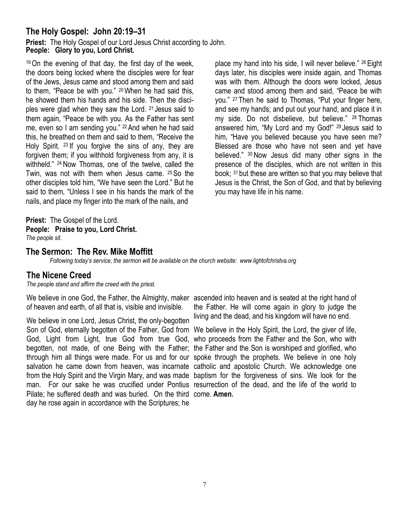## **The Holy Gospel: John 20:19–31**

**Priest:** The Holy Gospel of our Lord Jesus Christ according to John. **People: Glory to you, Lord Christ.** 

<sup>19</sup>On the evening of that day, the first day of the week, the doors being locked where the disciples were for fear of the Jews, Jesus came and stood among them and said to them, "Peace be with you." <sup>20</sup>When he had said this, he showed them his hands and his side. Then the disciples were glad when they saw the Lord. <sup>21</sup> Jesus said to them again, "Peace be with you. As the Father has sent me, even so I am sending you." <sup>22</sup> And when he had said this, he breathed on them and said to them, "Receive the Holy Spirit. <sup>23</sup> If you forgive the sins of any, they are forgiven them; if you withhold forgiveness from any, it is withheld." <sup>24</sup> Now Thomas, one of the twelve, called the Twin, was not with them when Jesus came. <sup>25</sup>So the other disciples told him, "We have seen the Lord." But he said to them, "Unless I see in his hands the mark of the nails, and place my finger into the mark of the nails, and

place my hand into his side, I will never believe." 26 Eight days later, his disciples were inside again, and Thomas was with them. Although the doors were locked, Jesus came and stood among them and said, "Peace be with you." <sup>27</sup> Then he said to Thomas, "Put your finger here, and see my hands; and put out your hand, and place it in my side. Do not disbelieve, but believe." <sup>28</sup> Thomas answered him, "My Lord and my God!" <sup>29</sup> Jesus said to him, "Have you believed because you have seen me? Blessed are those who have not seen and yet have believed." <sup>30</sup> Now Jesus did many other signs in the presence of the disciples, which are not written in this book; <sup>31</sup> but these are written so that you may believe that Jesus is the Christ, the Son of God, and that by believing you may have life in his name.

**Priest:** The Gospel of the Lord. **People: Praise to you, Lord Christ.** *The people sit.*

#### **The Sermon: The Rev. Mike Moffitt**

*Following today's service, the sermon will be available on the church website: www.lightofchristva.org*

#### **The Nicene Creed**

*The people stand and affirm the creed with the priest.*

of heaven and earth, of all that is, visible and invisible.

We believe in one Lord, Jesus Christ, the only-begotten Son of God, eternally begotten of the Father, God from We believe in the Holy Spirit, the Lord, the giver of life, God, Light from Light, true God from true God, begotten, not made, of one Being with the Father; the Father and the Son is worshiped and glorified, who through him all things were made. For us and for our spoke through the prophets. We believe in one holy salvation he came down from heaven, was incarnate catholic and apostolic Church. We acknowledge one from the Holy Spirit and the Virgin Mary, and was made baptism for the forgiveness of sins. We look for the man. For our sake he was crucified under Pontius resurrection of the dead, and the life of the world to Pilate; he suffered death and was buried. On the third come. **Amen.**day he rose again in accordance with the Scriptures; he

We believe in one God, the Father, the Almighty, maker ascended into heaven and is seated at the right hand of the Father. He will come again in glory to judge the living and the dead, and his kingdom will have no end.

who proceeds from the Father and the Son, who with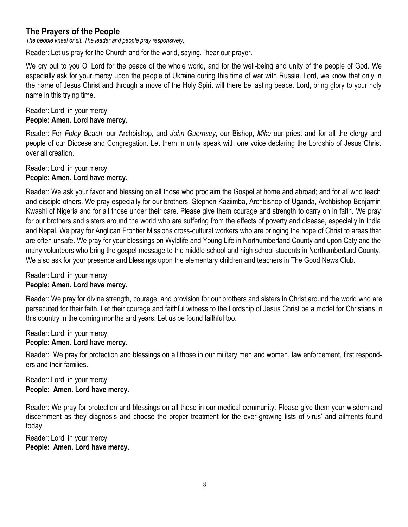## **The Prayers of the People**

*The people kneel or sit. The leader and people pray responsively.*

Reader: Let us pray for the Church and for the world, saying, "hear our prayer."

We cry out to you O' Lord for the peace of the whole world, and for the well-being and unity of the people of God. We especially ask for your mercy upon the people of Ukraine during this time of war with Russia. Lord, we know that only in the name of Jesus Christ and through a move of the Holy Spirit will there be lasting peace. Lord, bring glory to your holy name in this trying time.

#### Reader: Lord, in your mercy. **People: Amen. Lord have mercy.**

Reader: For *Foley Beach*, our Archbishop, and *John Guernsey*, our Bishop, *Mike* our priest and for all the clergy and people of our Diocese and Congregation. Let them in unity speak with one voice declaring the Lordship of Jesus Christ over all creation.

Reader: Lord, in your mercy. **People: Amen. Lord have mercy.**

Reader: We ask your favor and blessing on all those who proclaim the Gospel at home and abroad; and for all who teach and disciple others. We pray especially for our brothers, Stephen Kaziimba, Archbishop of Uganda, Archbishop Benjamin Kwashi of Nigeria and for all those under their care. Please give them courage and strength to carry on in faith. We pray for our brothers and sisters around the world who are suffering from the effects of poverty and disease, especially in India and Nepal. We pray for Anglican Frontier Missions cross-cultural workers who are bringing the hope of Christ to areas that are often unsafe. We pray for your blessings on Wyldlife and Young Life in Northumberland County and upon Caty and the many volunteers who bring the gospel message to the middle school and high school students in Northumberland County. We also ask for your presence and blessings upon the elementary children and teachers in The Good News Club.

Reader: Lord, in your mercy.

### **People: Amen. Lord have mercy.**

Reader: We pray for divine strength, courage, and provision for our brothers and sisters in Christ around the world who are persecuted for their faith. Let their courage and faithful witness to the Lordship of Jesus Christ be a model for Christians in this country in the coming months and years. Let us be found faithful too.

#### Reader: Lord, in your mercy. **People: Amen. Lord have mercy.**

Reader: We pray for protection and blessings on all those in our military men and women, law enforcement, first responders and their families.

#### Reader: Lord, in your mercy. **People: Amen. Lord have mercy.**

Reader: We pray for protection and blessings on all those in our medical community. Please give them your wisdom and discernment as they diagnosis and choose the proper treatment for the ever-growing lists of virus' and ailments found today.

Reader: Lord, in your mercy. **People: Amen. Lord have mercy.**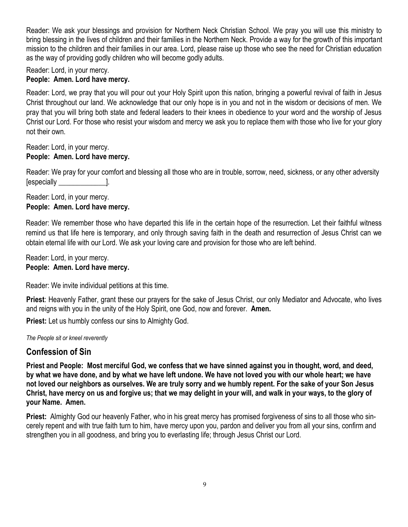Reader: We ask your blessings and provision for Northern Neck Christian School. We pray you will use this ministry to bring blessing in the lives of children and their families in the Northern Neck. Provide a way for the growth of this important mission to the children and their families in our area. Lord, please raise up those who see the need for Christian education as the way of providing godly children who will become godly adults.

Reader: Lord, in your mercy.

### **People: Amen. Lord have mercy.**

Reader: Lord, we pray that you will pour out your Holy Spirit upon this nation, bringing a powerful revival of faith in Jesus Christ throughout our land. We acknowledge that our only hope is in you and not in the wisdom or decisions of men. We pray that you will bring both state and federal leaders to their knees in obedience to your word and the worship of Jesus Christ our Lord. For those who resist your wisdom and mercy we ask you to replace them with those who live for your glory not their own.

#### Reader: Lord, in your mercy. **People: Amen. Lord have mercy.**

Reader: We pray for your comfort and blessing all those who are in trouble, sorrow, need, sickness, or any other adversity [especially \_\_\_\_\_\_\_\_\_\_\_\_\_].

Reader: Lord, in your mercy. **People: Amen. Lord have mercy.**

Reader: We remember those who have departed this life in the certain hope of the resurrection. Let their faithful witness remind us that life here is temporary, and only through saving faith in the death and resurrection of Jesus Christ can we obtain eternal life with our Lord. We ask your loving care and provision for those who are left behind.

Reader: Lord, in your mercy. **People: Amen. Lord have mercy.**

Reader: We invite individual petitions at this time.

**Priest**: Heavenly Father, grant these our prayers for the sake of Jesus Christ, our only Mediator and Advocate, who lives and reigns with you in the unity of the Holy Spirit, one God, now and forever. **Amen.**

**Priest:** Let us humbly confess our sins to Almighty God.

*The People sit or kneel reverently*

## **Confession of Sin**

**Priest and People: Most merciful God, we confess that we have sinned against you in thought, word, and deed, by what we have done, and by what we have left undone. We have not loved you with our whole heart; we have not loved our neighbors as ourselves. We are truly sorry and we humbly repent. For the sake of your Son Jesus Christ, have mercy on us and forgive us; that we may delight in your will, and walk in your ways, to the glory of your Name. Amen.**

**Priest:** Almighty God our heavenly Father, who in his great mercy has promised forgiveness of sins to all those who sincerely repent and with true faith turn to him, have mercy upon you, pardon and deliver you from all your sins, confirm and strengthen you in all goodness, and bring you to everlasting life; through Jesus Christ our Lord.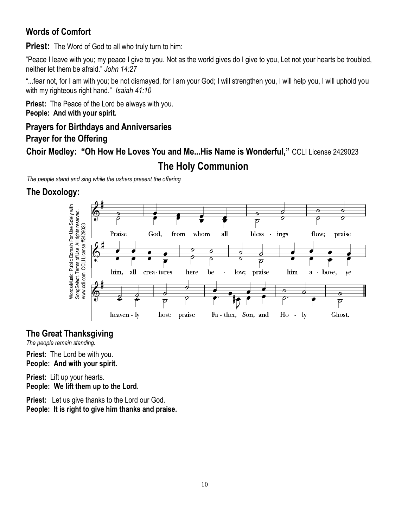## **Words of Comfort**

**Priest:** The Word of God to all who truly turn to him:

"Peace I leave with you; my peace I give to you. Not as the world gives do I give to you, Let not your hearts be troubled, neither let them be afraid." *John 14:27*

"...fear not, for I am with you; be not dismayed, for I am your God; I will strengthen you, I will help you, I will uphold you with my righteous right hand." *Isaiah 41:10*

**Priest:** The Peace of the Lord be always with you. **People: And with your spirit.**

## **Prayers for Birthdays and Anniversaries Prayer for the Offering The Holy Communion Choir Medley: "Oh How He Loves You and Me...His Name is Wonderful,"** CCLI License 2429023

*The people stand and sing while the ushers present the offering*

## **The Doxology:**



## **The Great Thanksgiving**

*The people remain standing.*

**Priest:** The Lord be with you. **People: And with your spirit.**

**Priest:** Lift up your hearts. **People: We lift them up to the Lord.**

**Priest:** Let us give thanks to the Lord our God. **People: It is right to give him thanks and praise.**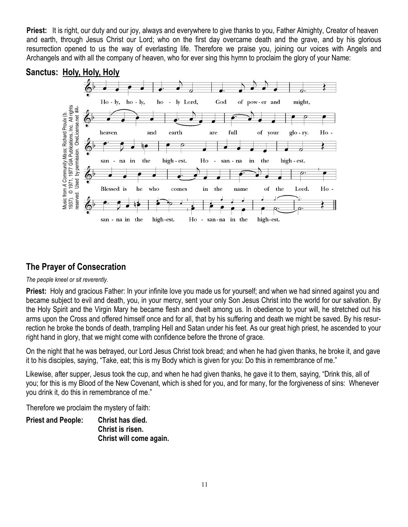**Priest:** It is right, our duty and our joy, always and everywhere to give thanks to you, Father Almighty, Creator of heaven and earth, through Jesus Christ our Lord; who on the first day overcame death and the grave, and by his glorious resurrection opened to us the way of everlasting life. Therefore we praise you, joining our voices with Angels and Archangels and with all the company of heaven, who for ever sing this hymn to proclaim the glory of your Name:



## **The Prayer of Consecration**

#### *The people kneel or sit reverently.*

**Priest:** Holy and gracious Father: In your infinite love you made us for yourself; and when we had sinned against you and became subject to evil and death, you, in your mercy, sent your only Son Jesus Christ into the world for our salvation. By the Holy Spirit and the Virgin Mary he became flesh and dwelt among us. In obedience to your will, he stretched out his arms upon the Cross and offered himself once and for all, that by his suffering and death we might be saved. By his resurrection he broke the bonds of death, trampling Hell and Satan under his feet. As our great high priest, he ascended to your right hand in glory, that we might come with confidence before the throne of grace.

On the night that he was betrayed, our Lord Jesus Christ took bread; and when he had given thanks, he broke it, and gave it to his disciples, saying, "Take, eat; this is my Body which is given for you: Do this in remembrance of me."

Likewise, after supper, Jesus took the cup, and when he had given thanks, he gave it to them, saying, "Drink this, all of you; for this is my Blood of the New Covenant, which is shed for you, and for many, for the forgiveness of sins: Whenever you drink it, do this in remembrance of me."

Therefore we proclaim the mystery of faith:

**Priest and People: Christ has died. Christ is risen. Christ will come again.**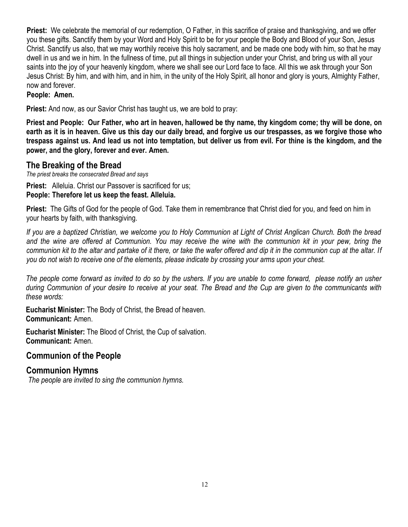**Priest:** We celebrate the memorial of our redemption, O Father, in this sacrifice of praise and thanksgiving, and we offer you these gifts. Sanctify them by your Word and Holy Spirit to be for your people the Body and Blood of your Son, Jesus Christ. Sanctify us also, that we may worthily receive this holy sacrament, and be made one body with him, so that he may dwell in us and we in him. In the fullness of time, put all things in subjection under your Christ, and bring us with all your saints into the joy of your heavenly kingdom, where we shall see our Lord face to face. All this we ask through your Son Jesus Christ: By him, and with him, and in him, in the unity of the Holy Spirit, all honor and glory is yours, Almighty Father, now and forever.

### **People: Amen.**

**Priest:** And now, as our Savior Christ has taught us, we are bold to pray:

**Priest and People: Our Father, who art in heaven, hallowed be thy name, thy kingdom come; thy will be done, on earth as it is in heaven. Give us this day our daily bread, and forgive us our trespasses, as we forgive those who trespass against us. And lead us not into temptation, but deliver us from evil. For thine is the kingdom, and the power, and the glory, forever and ever. Amen.**

### **The Breaking of the Bread**

*The priest breaks the consecrated Bread and says*

**Priest:** Alleluia. Christ our Passover is sacrificed for us; **People: Therefore let us keep the feast. Alleluia.**

**Priest:** The Gifts of God for the people of God. Take them in remembrance that Christ died for you, and feed on him in your hearts by faith, with thanksgiving.

*If you are a baptized Christian, we welcome you to Holy Communion at Light of Christ Anglican Church. Both the bread and the wine are offered at Communion. You may receive the wine with the communion kit in your pew, bring the communion kit to the altar and partake of it there, or take the wafer offered and dip it in the communion cup at the altar. If you do not wish to receive one of the elements, please indicate by crossing your arms upon your chest.* 

*The people come forward as invited to do so by the ushers. If you are unable to come forward, please notify an usher during Communion of your desire to receive at your seat. The Bread and the Cup are given to the communicants with these words:*

**Eucharist Minister:** The Body of Christ, the Bread of heaven. **Communicant:** Amen.

**Eucharist Minister:** The Blood of Christ, the Cup of salvation. **Communicant:** Amen.

## **Communion of the People**

## **Communion Hymns**

*The people are invited to sing the communion hymns.*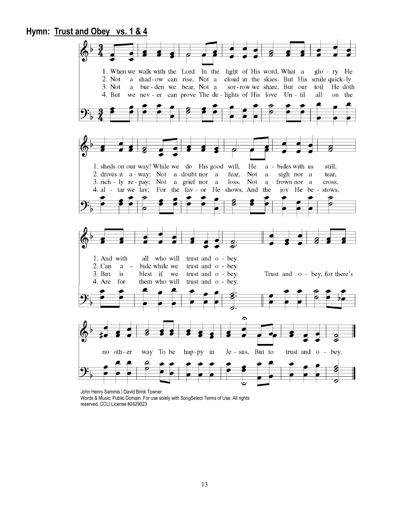### **Hymn: Trust and Obey vs. 1 & 4**



John Henry Sammis | David Brink Towner

Words & Music: Public Domain. For use solely with SongSelect Terms of Use. All rights reserved. CCLI License #2429023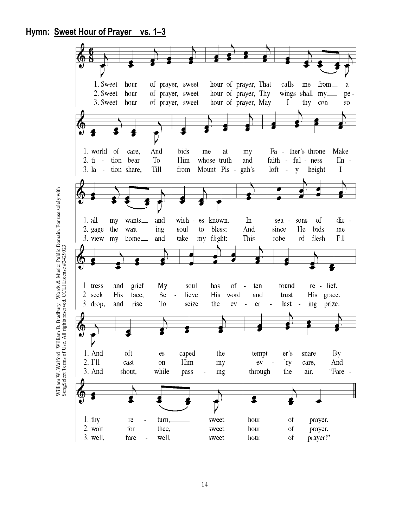**Hymn: Sweet Hour of Prayer vs. 1–3** 



William W. Walford | William B. Bradbury | Words & Music: Public Domain. For use solely with SongSelect Terms of Use. All rights reserved. CCLI License #2429023 William W. Walford | William B. Bradbury | Words & Music: Public Domain. For use solely with SongSelect Terms of Use. All rights reserved. CCLI License #2429023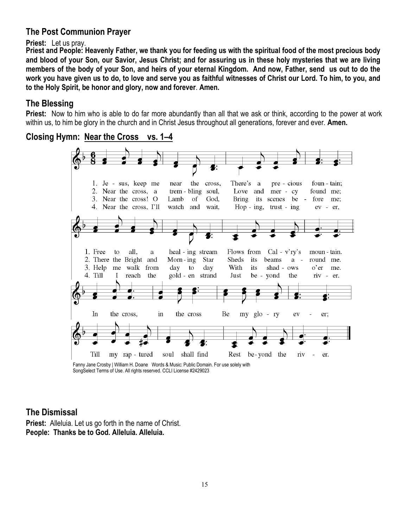## **The Post Communion Prayer**

#### **Priest:** Let us pray.

**Priest and People: Heavenly Father, we thank you for feeding us with the spiritual food of the most precious body and blood of your Son, our Savior, Jesus Christ; and for assuring us in these holy mysteries that we are living members of the body of your Son, and heirs of your eternal Kingdom. And now, Father, send us out to do the work you have given us to do, to love and serve you as faithful witnesses of Christ our Lord. To him, to you, and to the Holy Spirit, be honor and glory, now and forever**. **Amen.** 

## **The Blessing**

**Priest:** Now to him who is able to do far more abundantly than all that we ask or think, according to the power at work within us, to him be glory in the church and in Christ Jesus throughout all generations, forever and ever. **Amen.** 

## **Closing Hymn: Near the Cross vs. 1–4**



Fanny Jane Crosby | William H. Doane Words & Music: Public Domain. For use solely with SongSelect Terms of Use. All rights reserved. CCLI License #2429023

## **The Dismissal**

**Priest:** Alleluia. Let us go forth in the name of Christ. **People: Thanks be to God. Alleluia. Alleluia.**